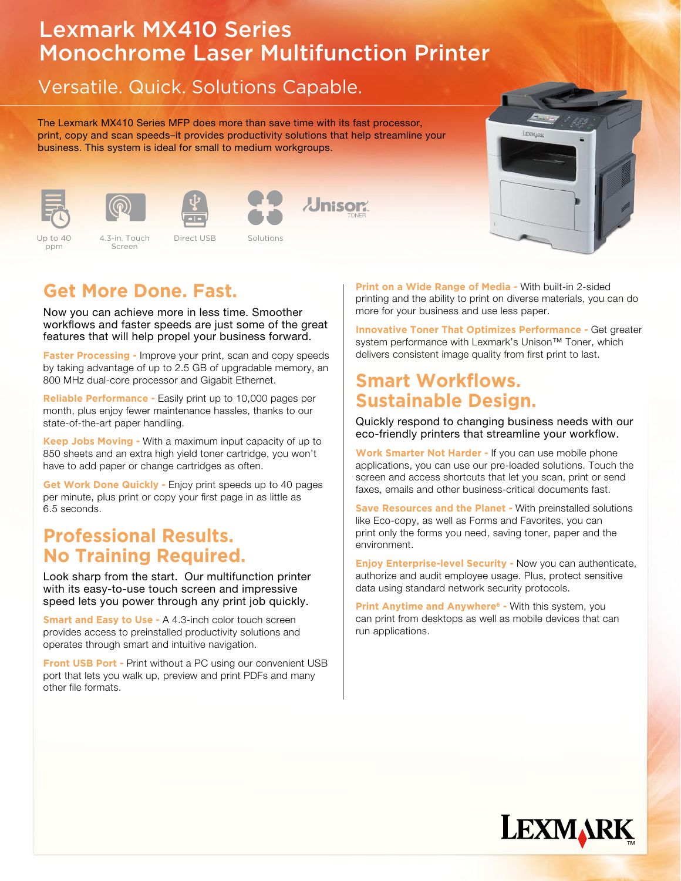# Lexmark MX410 Series Monochrome Laser Multifunction Printer

## Versatile. Quick. Solutions Capable.

The Lexmark MX410 Series MFP does more than save time with its fast processor, print, copy and scan speeds–it provides productivity solutions that help streamline your business. This system is ideal for small to medium workgroups.





Screen









#### Up to 40 ppm

4.3-in. Touch Direct USB Solutions Up to 40 and 4.3-in. Touch and Direct USB and Solutions and Coloration Alberta A. Up to 40 4.3-in. Touch Direct USB Solutions

# **Get More Done. Fast.**

Now you can achieve more in less time. Smoother workflows and faster speeds are just some of the great features that will help propel your business forward.

**Faster Processing -** Improve your print, scan and copy speeds by taking advantage of up to 2.5 GB of upgradable memory, an 800 MHz dual-core processor and Gigabit Ethernet.

**Reliable Performance -** Easily print up to 10,000 pages per month, plus enjoy fewer maintenance hassles, thanks to our state-of-the-art paper handling.

**Keep Jobs Moving -** With a maximum input capacity of up to 850 sheets and an extra high yield toner cartridge, you won't have to add paper or change cartridges as often.

**Get Work Done Quickly -** Enjoy print speeds up to 40 pages per minute, plus print or copy your first page in as little as 6.5 seconds.

#### **Professional Results. No Training Required.**

Look sharp from the start. Our multifunction printer with its easy-to-use touch screen and impressive speed lets you power through any print job quickly.

**Smart and Easy to Use - A 4.3-inch color touch screen** provides access to preinstalled productivity solutions and operates through smart and intuitive navigation.

**Front USB Port - Print without a PC using our convenient USB** port that lets you walk up, preview and print PDFs and many other file formats.

**Print on a Wide Range of Media -** With built-in 2-sided printing and the ability to print on diverse materials, you can do more for your business and use less paper.

**Innovative Toner That Optimizes Performance -** Get greater system performance with Lexmark's Unison<sup>™</sup> Toner, which delivers consistent image quality from first print to last.

### **Smart Workflows. Sustainable Design.**

Quickly respond to changing business needs with our eco-friendly printers that streamline your workflow.

**Work Smarter Not Harder -** If you can use mobile phone applications, you can use our pre-loaded solutions. Touch the screen and access shortcuts that let you scan, print or send faxes, emails and other business-critical documents fast.

**Save Resources and the Planet - With preinstalled solutions** like Eco-copy, as well as Forms and Favorites, you can print only the forms you need, saving toner, paper and the environment.

**Enjoy Enterprise-level Security -** Now you can authenticate, authorize and audit employee usage. Plus, protect sensitive data using standard network security protocols.

**Print Anytime and Anywhere<sup>6</sup> - With this system, you** can print from desktops as well as mobile devices that can run applications.